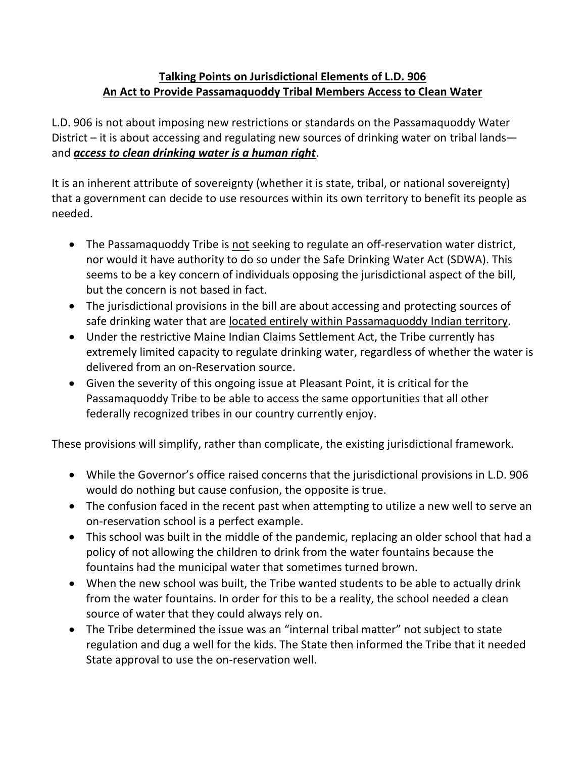## **Talking Points on Jurisdictional Elements of L.D. 906 An Act to Provide Passamaquoddy Tribal Members Access to Clean Water**

L.D. 906 is not about imposing new restrictions or standards on the Passamaquoddy Water District – it is about accessing and regulating new sources of drinking water on tribal lands and *access to clean drinking water is a human right*.

It is an inherent attribute of sovereignty (whether it is state, tribal, or national sovereignty) that a government can decide to use resources within its own territory to benefit its people as needed.

- The Passamaquoddy Tribe is not seeking to regulate an off-reservation water district, nor would it have authority to do so under the Safe Drinking Water Act (SDWA). This seems to be a key concern of individuals opposing the jurisdictional aspect of the bill, but the concern is not based in fact.
- The jurisdictional provisions in the bill are about accessing and protecting sources of safe drinking water that are located entirely within Passamaquoddy Indian territory.
- Under the restrictive Maine Indian Claims Settlement Act, the Tribe currently has extremely limited capacity to regulate drinking water, regardless of whether the water is delivered from an on-Reservation source.
- Given the severity of this ongoing issue at Pleasant Point, it is critical for the Passamaquoddy Tribe to be able to access the same opportunities that all other federally recognized tribes in our country currently enjoy.

These provisions will simplify, rather than complicate, the existing jurisdictional framework.

- While the Governor's office raised concerns that the jurisdictional provisions in L.D. 906 would do nothing but cause confusion, the opposite is true.
- The confusion faced in the recent past when attempting to utilize a new well to serve an on-reservation school is a perfect example.
- This school was built in the middle of the pandemic, replacing an older school that had a policy of not allowing the children to drink from the water fountains because the fountains had the municipal water that sometimes turned brown.
- When the new school was built, the Tribe wanted students to be able to actually drink from the water fountains. In order for this to be a reality, the school needed a clean source of water that they could always rely on.
- The Tribe determined the issue was an "internal tribal matter" not subject to state regulation and dug a well for the kids. The State then informed the Tribe that it needed State approval to use the on-reservation well.